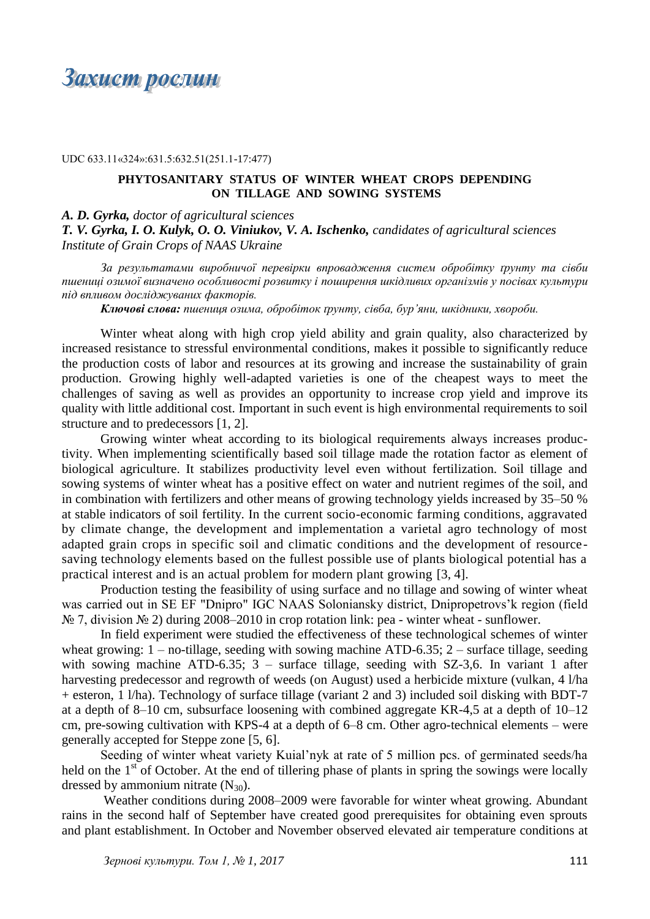Захист рослин

UDC 633.11«324»:631.5:632.51(251.1-17:477)

## **PHYTOSANITARY STATUS OF WINTER WHEAT CROPS DEPENDING ON TILLAGE AND SOWING SYSTEMS**

*A. D. Gyrka, doctor of agricultural sciences*

*T. V. Gyrka, I. O. Kulyk, O. O. Viniukov, V. A. Ischenko, candidates of agricultural sciences Institute of Grain Crops of NAAS Ukraine*

*За результатами виробничої перевірки впровадження систем обробітку ґрунту та сівби пшениці озимої визначено особливості розвитку і поширення шкідливих організмів у посівах культури під впливом досліджуваних факторів.*

*Ключові слова: пшениця озима, обробіток ґрунту, сівба, бур'яни, шкідники, хвороби.*

Winter wheat along with high crop yield ability and grain quality, also characterized by increased resistance to stressful environmental conditions, makes it possible to significantly reduce the production costs of labor and resources at its growing and increase the sustainability of grain production. Growing highly well-adapted varieties is one of the cheapest ways to meet the challenges of saving as well as provides an opportunity to increase crop yield and improve its quality with little additional cost. Important in such event is high environmental requirements to soil structure and to predecessors [1, 2].

Growing winter wheat according to its biological requirements always increases productivity. When implementing scientifically based soil tillage made the rotation factor as element of biological agriculture. It stabilizes productivity level even without fertilization. Soil tillage and sowing systems of winter wheat has a positive effect on water and nutrient regimes of the soil, and in combination with fertilizers and other means of growing technology yields increased by 35–50 % at stable indicators of soil fertility. In the current socio-economic farming conditions, aggravated by climate change, the development and implementation a varietal agro technology of most adapted grain crops in specific soil and climatic conditions and the development of resourcesaving technology elements based on the fullest possible use of plants biological potential has a practical interest and is an actual problem for modern plant growing [3, 4].

Production testing the feasibility of using surface and no tillage and sowing of winter wheat was carried out in SE EF "Dnipro" IGC NAAS Soloniansky district, Dnipropetrovs'k region (field № 7, division № 2) during 2008–2010 in crop rotation link: pea - winter wheat - sunflower.

In field experiment were studied the effectiveness of these technological schemes of winter wheat growing:  $1 -$  no-tillage, seeding with sowing machine ATD-6.35;  $2 -$  surface tillage, seeding with sowing machine ATD-6.35; 3 – surface tillage, seeding with SZ-3,6. In variant 1 after harvesting predecessor and regrowth of weeds (on August) used a herbicide mixture (vulkan, 4 l/ha + esteron, 1 l/ha). Technology of surface tillage (variant 2 and 3) included soil disking with BDT-7 at a depth of 8–10 cm, subsurface loosening with combined aggregate KR-4,5 at a depth of 10–12 cm, pre-sowing cultivation with KPS-4 at a depth of 6–8 cm. Other agro-technical elements – were generally accepted for Steppe zone [5, 6].

Seeding of winter wheat variety Kuial'nyk at rate of 5 million pcs. of germinated seeds/ha held on the  $1<sup>st</sup>$  of October. At the end of tillering phase of plants in spring the sowings were locally dressed by ammonium nitrate  $(N_{30})$ .

Weather conditions during 2008–2009 were favorable for winter wheat growing. Abundant rains in the second half of September have created good prerequisites for obtaining even sprouts and plant establishment. In October and November observed elevated air temperature conditions at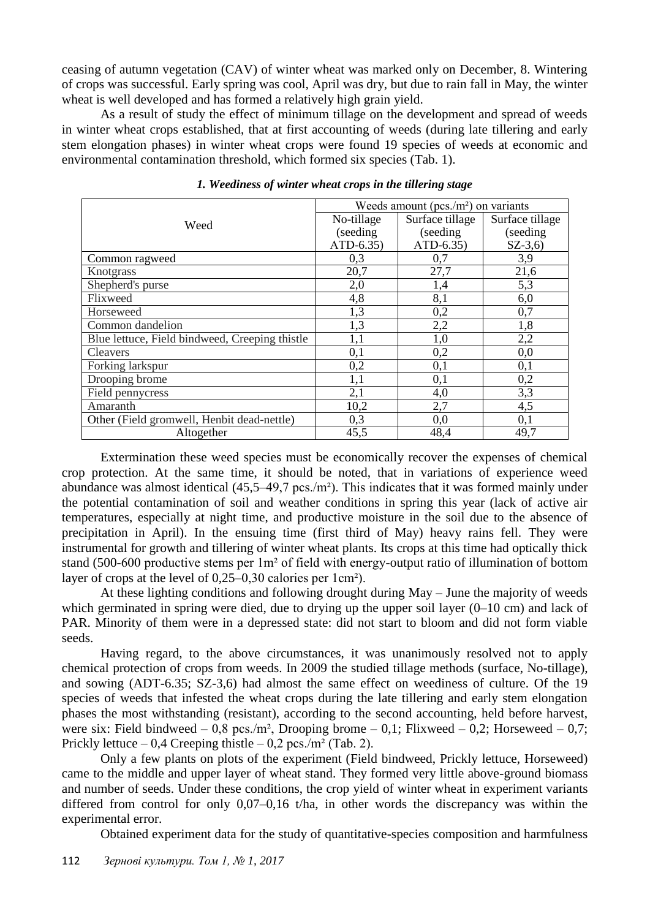ceasing of autumn vegetation (CAV) of winter wheat was marked only on December, 8. Wintering of crops was successful. Early spring was cool, April was dry, but due to rain fall in May, the winter wheat is well developed and has formed a relatively high grain yield.

As a result of study the effect of minimum tillage on the development and spread of weeds in winter wheat crops established, that at first accounting of weeds (during late tillering and early stem elongation phases) in winter wheat crops were found 19 species of weeds at economic and environmental contamination threshold, which formed six species (Tab. 1).

|                                                | Weeds amount ( $pcs/m2$ ) on variants |                 |                 |
|------------------------------------------------|---------------------------------------|-----------------|-----------------|
| Weed                                           | No-tillage                            | Surface tillage | Surface tillage |
|                                                | (seeding)                             | (seeding        | (seeding)       |
|                                                | $ATD-6.35$                            | $ATD-6.35$      | $SZ-3,6)$       |
| Common ragweed                                 | 0,3                                   | 0,7             | 3,9             |
| Knotgrass                                      | 20,7                                  | 27,7            | 21,6            |
| Shepherd's purse                               | 2,0                                   | 1,4             | 5,3             |
| Flixweed                                       | 4,8                                   | 8,1             | 6,0             |
| Horseweed                                      | 1,3                                   | 0,2             | 0,7             |
| Common dandelion                               | 1,3                                   | 2,2             | 1,8             |
| Blue lettuce, Field bindweed, Creeping thistle | 1,1                                   | 1,0             | 2,2             |
| <b>Cleavers</b>                                | 0,1                                   | 0,2             | 0,0             |
| Forking larkspur                               | 0,2                                   | 0,1             | 0,1             |
| Drooping brome                                 | 1,1                                   | 0,1             | 0,2             |
| Field pennycress                               | 2,1                                   | 4,0             | 3,3             |
| Amaranth                                       | 10,2                                  | 2,7             | 4,5             |
| Other (Field gromwell, Henbit dead-nettle)     | 0,3                                   | 0,0             | 0,1             |
| Altogether                                     | 45,5                                  | 48,4            | 49,7            |

*1. Weediness of winter wheat crops in the tillering stage*

Extermination these weed species must be economically recover the expenses of chemical crop protection. At the same time, it should be noted, that in variations of experience weed abundance was almost identical (45,5–49,7 pcs./m²). This indicates that it was formed mainly under the potential contamination of soil and weather conditions in spring this year (lack of active air temperatures, especially at night time, and productive moisture in the soil due to the absence of precipitation in April). In the ensuing time (first third of May) heavy rains fell. They were instrumental for growth and tillering of winter wheat plants. Its crops at this time had optically thick stand (500-600 productive stems per 1m² of field with energy-output ratio of illumination of bottom layer of crops at the level of 0,25–0,30 calories per 1cm²).

At these lighting conditions and following drought during May – June the majority of weeds which germinated in spring were died, due to drying up the upper soil layer (0–10 cm) and lack of PAR. Minority of them were in a depressed state: did not start to bloom and did not form viable seeds.

Having regard, to the above circumstances, it was unanimously resolved not to apply chemical protection of crops from weeds. In 2009 the studied tillage methods (surface, No-tillage), and sowing (ADT-6.35; SZ-3,6) had almost the same effect on weediness of culture. Of the 19 species of weeds that infested the wheat crops during the late tillering and early stem elongation phases the most withstanding (resistant), according to the second accounting, held before harvest, were six: Field bindweed – 0,8 pcs./m<sup>2</sup>, Drooping brome – 0,1; Flixweed – 0,2; Horseweed – 0,7; Prickly lettuce – 0,4 Creeping thistle – 0,2 pcs./m<sup>2</sup> (Tab. 2).

Only a few plants on plots of the experiment (Field bindweed, Prickly lettuce, Horseweed) came to the middle and upper layer of wheat stand. They formed very little above-ground biomass and number of seeds. Under these conditions, the crop yield of winter wheat in experiment variants differed from control for only 0,07–0,16 t/ha, in other words the discrepancy was within the experimental error.

Obtained experiment data for the study of quantitative-species composition and harmfulness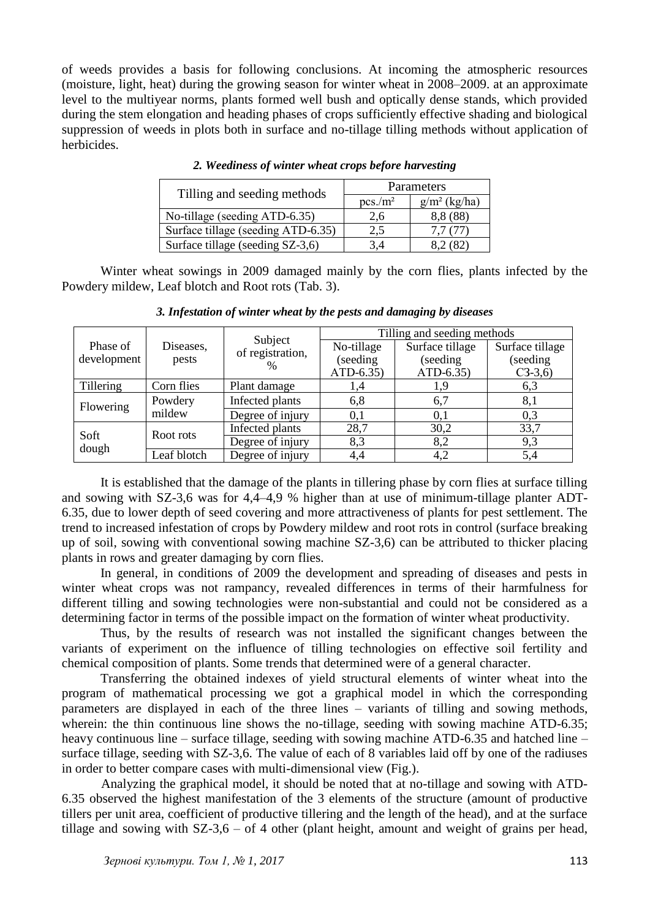of weeds provides a basis for following conclusions. At incoming the atmospheric resources (moisture, light, heat) during the growing season for winter wheat in 2008–2009. at an approximate level to the multiyear norms, plants formed well bush and optically dense stands, which provided during the stem elongation and heading phases of crops sufficiently effective shading and biological suppression of weeds in plots both in surface and no-tillage tilling methods without application of herbicides.

| Tilling and seeding methods        | Parameters |                 |  |
|------------------------------------|------------|-----------------|--|
|                                    | $pcs/m^2$  | $g/m^2$ (kg/ha) |  |
| No-tillage (seeding ATD-6.35)      | 2,6        | 8,8 (88)        |  |
| Surface tillage (seeding ATD-6.35) | 2.5        |                 |  |
| Surface tillage (seeding SZ-3,6)   |            |                 |  |

*2. Weediness of winter wheat crops before harvesting*

Winter wheat sowings in 2009 damaged mainly by the corn flies, plants infected by the Powdery mildew, Leaf blotch and Root rots (Tab. 3).

| Phase of<br>development | Diseases,<br>pests | Subject<br>of registration,<br>$\frac{0}{0}$ | Tilling and seeding methods |                 |                 |
|-------------------------|--------------------|----------------------------------------------|-----------------------------|-----------------|-----------------|
|                         |                    |                                              | No-tillage                  | Surface tillage | Surface tillage |
|                         |                    |                                              | (seeding                    | (seeding)       | (seeding        |
|                         |                    |                                              | ATD-6.35)                   | ATD-6.35)       | $C3-3,6$        |
| <b>Tillering</b>        | Corn flies         | Plant damage                                 | 1,4                         |                 | 6,3             |
| Flowering               | Powdery            | Infected plants                              | 6,8                         | 6,7             | 8,1             |
|                         | mildew             | Degree of injury                             | 0,1                         | 0,1             | 0,3             |
| Soft<br>dough           | Root rots          | Infected plants                              | 28,7                        | 30,2            | 33,7            |
|                         |                    | Degree of injury                             | 8,3                         | 8,2             | 9,3             |
|                         | Leaf blotch        | Degree of injury                             | 4,4                         | 4,2             | 5,4             |

*3. Infestation of winter wheat by the pests and damaging by diseases*

It is established that the damage of the plants in tillering phase by corn flies at surface tilling and sowing with SZ-3,6 was for 4,4–4,9 % higher than at use of minimum-tillage planter ADT-6.35, due to lower depth of seed covering and more attractiveness of plants for pest settlement. The trend to increased infestation of crops by Powdery mildew and root rots in control (surface breaking up of soil, sowing with conventional sowing machine SZ-3,6) can be attributed to thicker placing plants in rows and greater damaging by corn flies.

In general, in conditions of 2009 the development and spreading of diseases and pests in winter wheat crops was not rampancy, revealed differences in terms of their harmfulness for different tilling and sowing technologies were non-substantial and could not be considered as a determining factor in terms of the possible impact on the formation of winter wheat productivity.

Thus, by the results of research was not installed the significant changes between the variants of experiment on the influence of tilling technologies on effective soil fertility and chemical composition of plants. Some trends that determined were of a general character.

Transferring the obtained indexes of yield structural elements of winter wheat into the program of mathematical processing we got a graphical model in which the corresponding parameters are displayed in each of the three lines – variants of tilling and sowing methods, wherein: the thin continuous line shows the no-tillage, seeding with sowing machine ATD-6.35; heavy continuous line – surface tillage, seeding with sowing machine ATD-6.35 and hatched line – surface tillage, seeding with SZ-3,6. The value of each of 8 variables laid off by one of the radiuses in order to better compare cases with multi-dimensional view (Fig.).

Analyzing the graphical model, it should be noted that at no-tillage and sowing with ATD-6.35 observed the highest manifestation of the 3 elements of the structure (amount of productive tillers per unit area, coefficient of productive tillering and the length of the head), and at the surface tillage and sowing with SZ-3,6 – of 4 other (plant height, amount and weight of grains per head,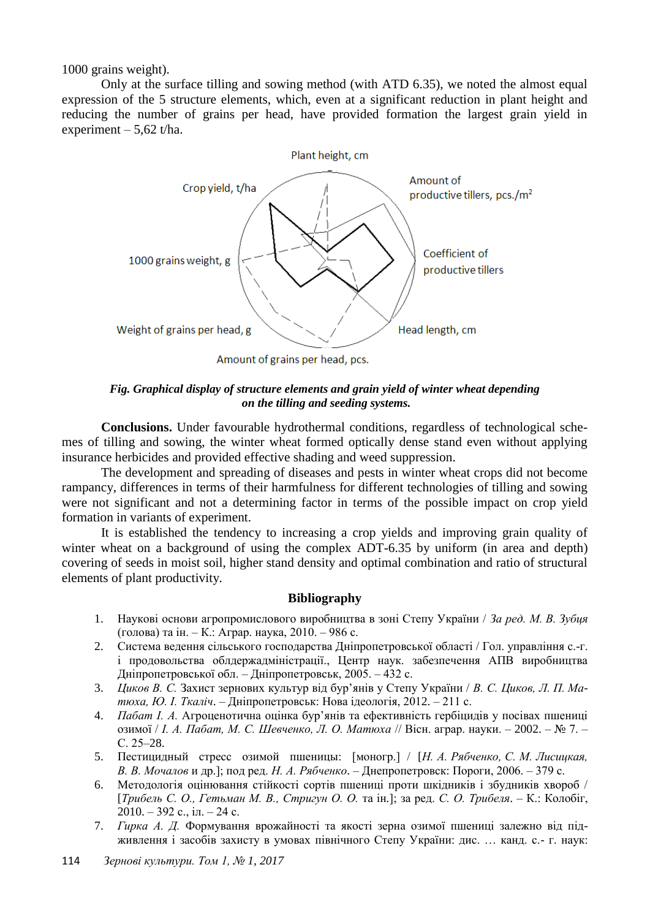1000 grains weight).

Only at the surface tilling and sowing method (with ATD 6.35), we noted the almost equal expression of the 5 structure elements, which, even at a significant reduction in plant height and reducing the number of grains per head, have provided formation the largest grain yield in experiment –  $5,62$  t/ha.



*Fig. Graphical display of structure elements and grain yield of winter wheat depending on the tilling and seeding systems.*

**Conclusions.** Under favourable hydrothermal conditions, regardless of technological schemes of tilling and sowing, the winter wheat formed optically dense stand even without applying insurance herbicides and provided effective shading and weed suppression.

The development and spreading of diseases and pests in winter wheat crops did not become rampancy, differences in terms of their harmfulness for different technologies of tilling and sowing were not significant and not a determining factor in terms of the possible impact on crop yield formation in variants of experiment.

It is established the tendency to increasing a crop yields and improving grain quality of winter wheat on a background of using the complex ADT-6.35 by uniform (in area and depth) covering of seeds in moist soil, higher stand density and optimal combination and ratio of structural elements of plant productivity.

## **Bibliography**

- 1. Наукові основи агропромислового виробництва в зоні Степу України / *За ред. М. В. Зубця* (голова) та ін. – К.: Аграр. наука, 2010. – 986 с.
- 2. Система ведення сільського господарства Дніпропетровської області / Гол. управління с.-г. і продовольства облдержадміністрації., Центр наук. забезпечення АПВ виробництва Дніпропетровської обл. – Дніпропетровськ, 2005. – 432 с.
- 3. *Циков В. С.* Захист зернових культур від бур'янів у Степу України / *В. С. Циков, Л. П. Матюха, Ю. І. Ткаліч*. – Дніпропетровськ: Нова ідеологія, 2012. – 211 с.
- 4. *Пабат І. А.* Агроценотична оцінка бур'янів та ефективність гербіцидів у посівах пшениці озимої / *І. А. Пабат, М. С. Шевченко, Л. О. Матюха* // Вісн. аграр. науки. – 2002. – № 7. – С. 25–28.
- 5. Пестицидный стресс озимой пшеницы: [моногр.] / [*Н. А. Рябченко, С. М. Лисицкая, В. В. Мочалов* и др.]; под ред. *Н. А. Рябченко*. – Днепропетровск: Пороги, 2006. – 379 с.
- 6. Методологія оцінювання стійкості сортів пшениці проти шкідників і збудників хвороб / [*Трибель С. О., Гетьман М. В., Стригун О. О.* та ін*.*]; за ред. *С. О. Трибеля*. – К.: Колобіг, 2010. – 392 с., іл. – 24 с.
- 7. *Гирка А. Д.* Формування врожайності та якості зерна озимої пшениці залежно від підживлення і засобів захисту в умовах північного Степу України: дис. … канд. с.- г. наук:
- 114 *Зернові культури. Том 1, № 1, 2017*